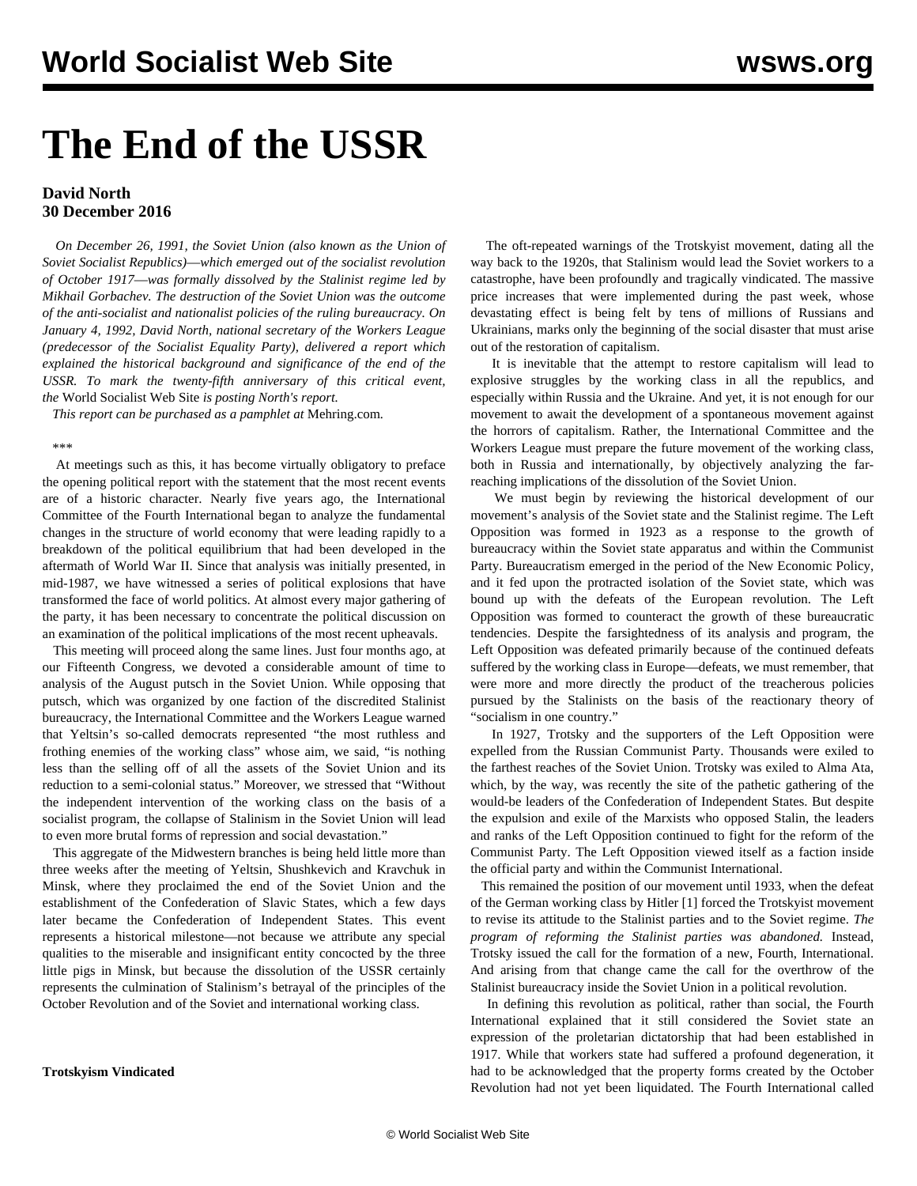# **The End of the USSR**

# **David North 30 December 2016**

 *On December 26, 1991, the Soviet Union (also known as the Union of Soviet Socialist Republics)*—*which emerged out of the socialist revolution of October 1917*—*was formally dissolved by the Stalinist regime led by Mikhail Gorbachev. The destruction of the Soviet Union was the outcome of the anti-socialist and nationalist policies of the ruling bureaucracy. On January 4, 1992, David North, national secretary of the Workers League (predecessor of the Socialist Equality Party), delivered a report which explained the historical background and significance of the end of the USSR. To mark the twenty-fifth anniversary of this critical event, the* World Socialist Web Site *is posting North's report.*

*This report can be purchased as a pamphlet at* [Mehring.com](http://mehring.com/end-of-ussr.html)*.*

\*\*\*

 At meetings such as this, it has become virtually obligatory to preface the opening political report with the statement that the most recent events are of a historic character. Nearly five years ago, the International Committee of the Fourth International began to analyze the fundamental changes in the structure of world economy that were leading rapidly to a breakdown of the political equilibrium that had been developed in the aftermath of World War II. Since that analysis was initially presented, in mid-1987, we have witnessed a series of political explosions that have transformed the face of world politics. At almost every major gathering of the party, it has been necessary to concentrate the political discussion on an examination of the political implications of the most recent upheavals.

 This meeting will proceed along the same lines. Just four months ago, at our Fifteenth Congress, we devoted a considerable amount of time to analysis of the August putsch in the Soviet Union. While opposing that putsch, which was organized by one faction of the discredited Stalinist bureaucracy, the International Committee and the Workers League warned that Yeltsin's so-called democrats represented "the most ruthless and frothing enemies of the working class" whose aim, we said, "is nothing less than the selling off of all the assets of the Soviet Union and its reduction to a semi-colonial status." Moreover, we stressed that "Without the independent intervention of the working class on the basis of a socialist program, the collapse of Stalinism in the Soviet Union will lead to even more brutal forms of repression and social devastation."

 This aggregate of the Midwestern branches is being held little more than three weeks after the meeting of Yeltsin, Shushkevich and Kravchuk in Minsk, where they proclaimed the end of the Soviet Union and the establishment of the Confederation of Slavic States, which a few days later became the Confederation of Independent States. This event represents a historical milestone—not because we attribute any special qualities to the miserable and insignificant entity concocted by the three little pigs in Minsk, but because the dissolution of the USSR certainly represents the culmination of Stalinism's betrayal of the principles of the October Revolution and of the Soviet and international working class.

 The oft-repeated warnings of the Trotskyist movement, dating all the way back to the 1920s, that Stalinism would lead the Soviet workers to a catastrophe, have been profoundly and tragically vindicated. The massive price increases that were implemented during the past week, whose devastating effect is being felt by tens of millions of Russians and Ukrainians, marks only the beginning of the social disaster that must arise out of the restoration of capitalism.

 It is inevitable that the attempt to restore capitalism will lead to explosive struggles by the working class in all the republics, and especially within Russia and the Ukraine. And yet, it is not enough for our movement to await the development of a spontaneous movement against the horrors of capitalism. Rather, the International Committee and the Workers League must prepare the future movement of the working class, both in Russia and internationally, by objectively analyzing the farreaching implications of the dissolution of the Soviet Union.

 We must begin by reviewing the historical development of our movement's analysis of the Soviet state and the Stalinist regime. The Left Opposition was formed in 1923 as a response to the growth of bureaucracy within the Soviet state apparatus and within the Communist Party. Bureaucratism emerged in the period of the New Economic Policy, and it fed upon the protracted isolation of the Soviet state, which was bound up with the defeats of the European revolution. The Left Opposition was formed to counteract the growth of these bureaucratic tendencies. Despite the farsightedness of its analysis and program, the Left Opposition was defeated primarily because of the continued defeats suffered by the working class in Europe—defeats, we must remember, that were more and more directly the product of the treacherous policies pursued by the Stalinists on the basis of the reactionary theory of "socialism in one country."

 In 1927, Trotsky and the supporters of the Left Opposition were expelled from the Russian Communist Party. Thousands were exiled to the farthest reaches of the Soviet Union. Trotsky was exiled to Alma Ata, which, by the way, was recently the site of the pathetic gathering of the would-be leaders of the Confederation of Independent States. But despite the expulsion and exile of the Marxists who opposed Stalin, the leaders and ranks of the Left Opposition continued to fight for the reform of the Communist Party. The Left Opposition viewed itself as a faction inside the official party and within the Communist International.

 This remained the position of our movement until 1933, when the defeat of the German working class by Hitler [1] forced the Trotskyist movement to revise its attitude to the Stalinist parties and to the Soviet regime. *The program of reforming the Stalinist parties was abandoned.* Instead, Trotsky issued the call for the formation of a new, Fourth, International. And arising from that change came the call for the overthrow of the Stalinist bureaucracy inside the Soviet Union in a political revolution.

 In defining this revolution as political, rather than social, the Fourth International explained that it still considered the Soviet state an expression of the proletarian dictatorship that had been established in 1917. While that workers state had suffered a profound degeneration, it had to be acknowledged that the property forms created by the October Revolution had not yet been liquidated. The Fourth International called

# **Trotskyism Vindicated**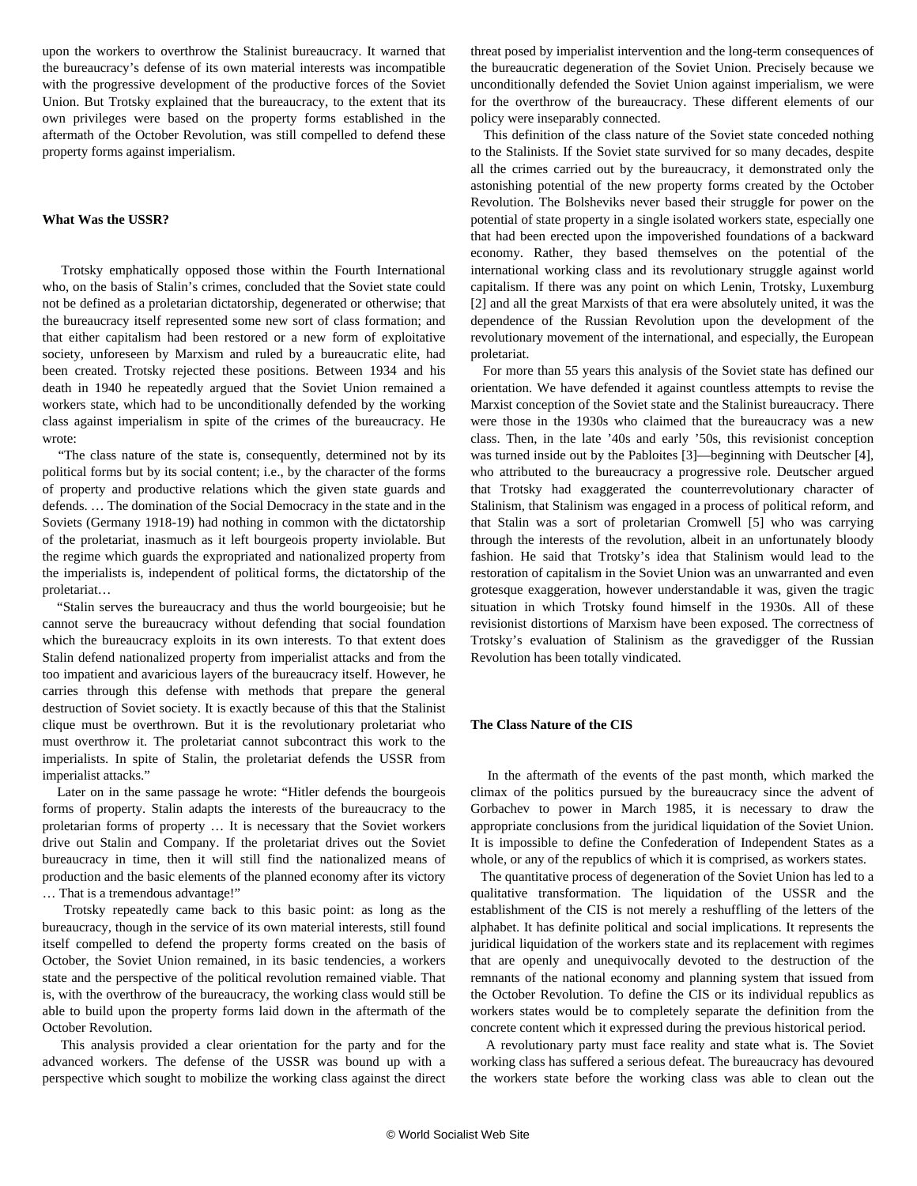upon the workers to overthrow the Stalinist bureaucracy. It warned that the bureaucracy's defense of its own material interests was incompatible with the progressive development of the productive forces of the Soviet Union. But Trotsky explained that the bureaucracy, to the extent that its own privileges were based on the property forms established in the aftermath of the October Revolution, was still compelled to defend these property forms against imperialism.

## **What Was the USSR?**

 Trotsky emphatically opposed those within the Fourth International who, on the basis of Stalin's crimes, concluded that the Soviet state could not be defined as a proletarian dictatorship, degenerated or otherwise; that the bureaucracy itself represented some new sort of class formation; and that either capitalism had been restored or a new form of exploitative society, unforeseen by Marxism and ruled by a bureaucratic elite, had been created. Trotsky rejected these positions. Between 1934 and his death in 1940 he repeatedly argued that the Soviet Union remained a workers state, which had to be unconditionally defended by the working class against imperialism in spite of the crimes of the bureaucracy. He wrote:

 "The class nature of the state is, consequently, determined not by its political forms but by its social content; i.e., by the character of the forms of property and productive relations which the given state guards and defends. … The domination of the Social Democracy in the state and in the Soviets (Germany 1918-19) had nothing in common with the dictatorship of the proletariat, inasmuch as it left bourgeois property inviolable. But the regime which guards the expropriated and nationalized property from the imperialists is, independent of political forms, the dictatorship of the proletariat…

 "Stalin serves the bureaucracy and thus the world bourgeoisie; but he cannot serve the bureaucracy without defending that social foundation which the bureaucracy exploits in its own interests. To that extent does Stalin defend nationalized property from imperialist attacks and from the too impatient and avaricious layers of the bureaucracy itself. However, he carries through this defense with methods that prepare the general destruction of Soviet society. It is exactly because of this that the Stalinist clique must be overthrown. But it is the revolutionary proletariat who must overthrow it. The proletariat cannot subcontract this work to the imperialists. In spite of Stalin, the proletariat defends the USSR from imperialist attacks."

 Later on in the same passage he wrote: "Hitler defends the bourgeois forms of property. Stalin adapts the interests of the bureaucracy to the proletarian forms of property … It is necessary that the Soviet workers drive out Stalin and Company. If the proletariat drives out the Soviet bureaucracy in time, then it will still find the nationalized means of production and the basic elements of the planned economy after its victory … That is a tremendous advantage!"

 Trotsky repeatedly came back to this basic point: as long as the bureaucracy, though in the service of its own material interests, still found itself compelled to defend the property forms created on the basis of October, the Soviet Union remained, in its basic tendencies, a workers state and the perspective of the political revolution remained viable. That is, with the overthrow of the bureaucracy, the working class would still be able to build upon the property forms laid down in the aftermath of the October Revolution.

 This analysis provided a clear orientation for the party and for the advanced workers. The defense of the USSR was bound up with a perspective which sought to mobilize the working class against the direct threat posed by imperialist intervention and the long-term consequences of the bureaucratic degeneration of the Soviet Union. Precisely because we unconditionally defended the Soviet Union against imperialism, we were for the overthrow of the bureaucracy. These different elements of our policy were inseparably connected.

 This definition of the class nature of the Soviet state conceded nothing to the Stalinists. If the Soviet state survived for so many decades, despite all the crimes carried out by the bureaucracy, it demonstrated only the astonishing potential of the new property forms created by the October Revolution. The Bolsheviks never based their struggle for power on the potential of state property in a single isolated workers state, especially one that had been erected upon the impoverished foundations of a backward economy. Rather, they based themselves on the potential of the international working class and its revolutionary struggle against world capitalism. If there was any point on which Lenin, Trotsky, Luxemburg [2] and all the great Marxists of that era were absolutely united, it was the dependence of the Russian Revolution upon the development of the revolutionary movement of the international, and especially, the European proletariat.

 For more than 55 years this analysis of the Soviet state has defined our orientation. We have defended it against countless attempts to revise the Marxist conception of the Soviet state and the Stalinist bureaucracy. There were those in the 1930s who claimed that the bureaucracy was a new class. Then, in the late '40s and early '50s, this revisionist conception was turned inside out by the Pabloites [3]—beginning with Deutscher [4], who attributed to the bureaucracy a progressive role. Deutscher argued that Trotsky had exaggerated the counterrevolutionary character of Stalinism, that Stalinism was engaged in a process of political reform, and that Stalin was a sort of proletarian Cromwell [5] who was carrying through the interests of the revolution, albeit in an unfortunately bloody fashion. He said that Trotsky's idea that Stalinism would lead to the restoration of capitalism in the Soviet Union was an unwarranted and even grotesque exaggeration, however understandable it was, given the tragic situation in which Trotsky found himself in the 1930s. All of these revisionist distortions of Marxism have been exposed. The correctness of Trotsky's evaluation of Stalinism as the gravedigger of the Russian Revolution has been totally vindicated.

#### **The Class Nature of the CIS**

 In the aftermath of the events of the past month, which marked the climax of the politics pursued by the bureaucracy since the advent of Gorbachev to power in March 1985, it is necessary to draw the appropriate conclusions from the juridical liquidation of the Soviet Union. It is impossible to define the Confederation of Independent States as a whole, or any of the republics of which it is comprised, as workers states.

 The quantitative process of degeneration of the Soviet Union has led to a qualitative transformation. The liquidation of the USSR and the establishment of the CIS is not merely a reshuffling of the letters of the alphabet. It has definite political and social implications. It represents the juridical liquidation of the workers state and its replacement with regimes that are openly and unequivocally devoted to the destruction of the remnants of the national economy and planning system that issued from the October Revolution. To define the CIS or its individual republics as workers states would be to completely separate the definition from the concrete content which it expressed during the previous historical period.

 A revolutionary party must face reality and state what is. The Soviet working class has suffered a serious defeat. The bureaucracy has devoured the workers state before the working class was able to clean out the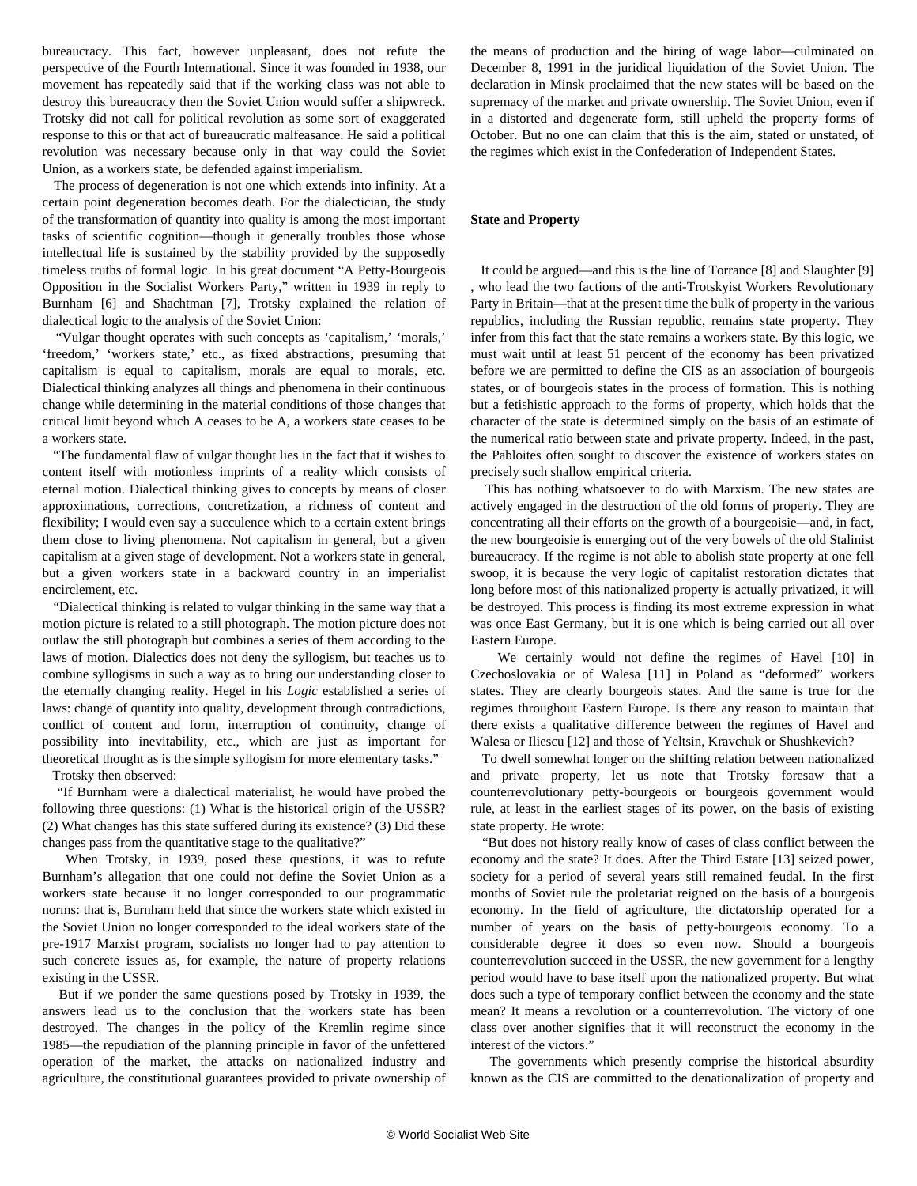bureaucracy. This fact, however unpleasant, does not refute the perspective of the Fourth International. Since it was founded in 1938, our movement has repeatedly said that if the working class was not able to destroy this bureaucracy then the Soviet Union would suffer a shipwreck. Trotsky did not call for political revolution as some sort of exaggerated response to this or that act of bureaucratic malfeasance. He said a political revolution was necessary because only in that way could the Soviet Union, as a workers state, be defended against imperialism.

 The process of degeneration is not one which extends into infinity. At a certain point degeneration becomes death. For the dialectician, the study of the transformation of quantity into quality is among the most important tasks of scientific cognition—though it generally troubles those whose intellectual life is sustained by the stability provided by the supposedly timeless truths of formal logic. In his great document "A Petty-Bourgeois Opposition in the Socialist Workers Party," written in 1939 in reply to Burnham [6] and Shachtman [7], Trotsky explained the relation of dialectical logic to the analysis of the Soviet Union:

 "Vulgar thought operates with such concepts as 'capitalism,' 'morals,' 'freedom,' 'workers state,' etc., as fixed abstractions, presuming that capitalism is equal to capitalism, morals are equal to morals, etc. Dialectical thinking analyzes all things and phenomena in their continuous change while determining in the material conditions of those changes that critical limit beyond which A ceases to be A, a workers state ceases to be a workers state.

 "The fundamental flaw of vulgar thought lies in the fact that it wishes to content itself with motionless imprints of a reality which consists of eternal motion. Dialectical thinking gives to concepts by means of closer approximations, corrections, concretization, a richness of content and flexibility; I would even say a succulence which to a certain extent brings them close to living phenomena. Not capitalism in general, but a given capitalism at a given stage of development. Not a workers state in general, but a given workers state in a backward country in an imperialist encirclement, etc.

 "Dialectical thinking is related to vulgar thinking in the same way that a motion picture is related to a still photograph. The motion picture does not outlaw the still photograph but combines a series of them according to the laws of motion. Dialectics does not deny the syllogism, but teaches us to combine syllogisms in such a way as to bring our understanding closer to the eternally changing reality. Hegel in his *Logic* established a series of laws: change of quantity into quality, development through contradictions, conflict of content and form, interruption of continuity, change of possibility into inevitability, etc., which are just as important for theoretical thought as is the simple syllogism for more elementary tasks."

Trotsky then observed:

 "If Burnham were a dialectical materialist, he would have probed the following three questions: (1) What is the historical origin of the USSR? (2) What changes has this state suffered during its existence? (3) Did these changes pass from the quantitative stage to the qualitative?"

 When Trotsky, in 1939, posed these questions, it was to refute Burnham's allegation that one could not define the Soviet Union as a workers state because it no longer corresponded to our programmatic norms: that is, Burnham held that since the workers state which existed in the Soviet Union no longer corresponded to the ideal workers state of the pre-1917 Marxist program, socialists no longer had to pay attention to such concrete issues as, for example, the nature of property relations existing in the USSR.

 But if we ponder the same questions posed by Trotsky in 1939, the answers lead us to the conclusion that the workers state has been destroyed. The changes in the policy of the Kremlin regime since 1985—the repudiation of the planning principle in favor of the unfettered operation of the market, the attacks on nationalized industry and agriculture, the constitutional guarantees provided to private ownership of the means of production and the hiring of wage labor—culminated on December 8, 1991 in the juridical liquidation of the Soviet Union. The declaration in Minsk proclaimed that the new states will be based on the supremacy of the market and private ownership. The Soviet Union, even if in a distorted and degenerate form, still upheld the property forms of October. But no one can claim that this is the aim, stated or unstated, of the regimes which exist in the Confederation of Independent States.

# **State and Property**

 It could be argued—and this is the line of Torrance [8] and Slaughter [9] , who lead the two factions of the anti-Trotskyist Workers Revolutionary Party in Britain—that at the present time the bulk of property in the various republics, including the Russian republic, remains state property. They infer from this fact that the state remains a workers state. By this logic, we must wait until at least 51 percent of the economy has been privatized before we are permitted to define the CIS as an association of bourgeois states, or of bourgeois states in the process of formation. This is nothing but a fetishistic approach to the forms of property, which holds that the character of the state is determined simply on the basis of an estimate of the numerical ratio between state and private property. Indeed, in the past, the Pabloites often sought to discover the existence of workers states on precisely such shallow empirical criteria.

 This has nothing whatsoever to do with Marxism. The new states are actively engaged in the destruction of the old forms of property. They are concentrating all their efforts on the growth of a bourgeoisie—and, in fact, the new bourgeoisie is emerging out of the very bowels of the old Stalinist bureaucracy. If the regime is not able to abolish state property at one fell swoop, it is because the very logic of capitalist restoration dictates that long before most of this nationalized property is actually privatized, it will be destroyed. This process is finding its most extreme expression in what was once East Germany, but it is one which is being carried out all over Eastern Europe.

 We certainly would not define the regimes of Havel [10] in Czechoslovakia or of Walesa [11] in Poland as "deformed" workers states. They are clearly bourgeois states. And the same is true for the regimes throughout Eastern Europe. Is there any reason to maintain that there exists a qualitative difference between the regimes of Havel and Walesa or Iliescu [12] and those of Yeltsin, Kravchuk or Shushkevich?

 To dwell somewhat longer on the shifting relation between nationalized and private property, let us note that Trotsky foresaw that a counterrevolutionary petty-bourgeois or bourgeois government would rule, at least in the earliest stages of its power, on the basis of existing state property. He wrote:

 "But does not history really know of cases of class conflict between the economy and the state? It does. After the Third Estate [13] seized power, society for a period of several years still remained feudal. In the first months of Soviet rule the proletariat reigned on the basis of a bourgeois economy. In the field of agriculture, the dictatorship operated for a number of years on the basis of petty-bourgeois economy. To a considerable degree it does so even now. Should a bourgeois counterrevolution succeed in the USSR, the new government for a lengthy period would have to base itself upon the nationalized property. But what does such a type of temporary conflict between the economy and the state mean? It means a revolution or a counterrevolution. The victory of one class over another signifies that it will reconstruct the economy in the interest of the victors."

 The governments which presently comprise the historical absurdity known as the CIS are committed to the denationalization of property and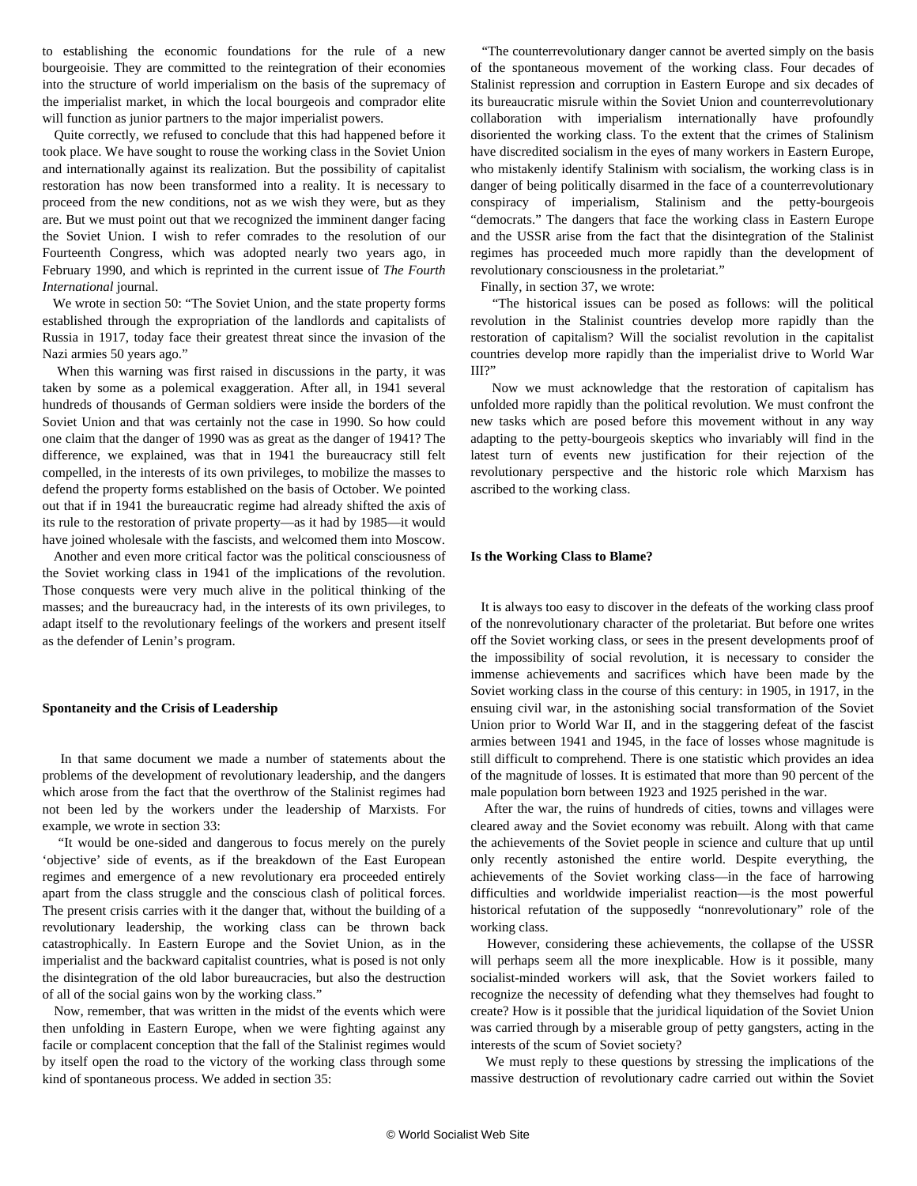to establishing the economic foundations for the rule of a new bourgeoisie. They are committed to the reintegration of their economies into the structure of world imperialism on the basis of the supremacy of the imperialist market, in which the local bourgeois and comprador elite will function as junior partners to the major imperialist powers.

 Quite correctly, we refused to conclude that this had happened before it took place. We have sought to rouse the working class in the Soviet Union and internationally against its realization. But the possibility of capitalist restoration has now been transformed into a reality. It is necessary to proceed from the new conditions, not as we wish they were, but as they are. But we must point out that we recognized the imminent danger facing the Soviet Union. I wish to refer comrades to the resolution of our Fourteenth Congress, which was adopted nearly two years ago, in February 1990, and which is reprinted in the current issue of *The Fourth International* journal.

 We wrote in section 50: "The Soviet Union, and the state property forms established through the expropriation of the landlords and capitalists of Russia in 1917, today face their greatest threat since the invasion of the Nazi armies 50 years ago."

 When this warning was first raised in discussions in the party, it was taken by some as a polemical exaggeration. After all, in 1941 several hundreds of thousands of German soldiers were inside the borders of the Soviet Union and that was certainly not the case in 1990. So how could one claim that the danger of 1990 was as great as the danger of 1941? The difference, we explained, was that in 1941 the bureaucracy still felt compelled, in the interests of its own privileges, to mobilize the masses to defend the property forms established on the basis of October. We pointed out that if in 1941 the bureaucratic regime had already shifted the axis of its rule to the restoration of private property—as it had by 1985—it would have joined wholesale with the fascists, and welcomed them into Moscow.

 Another and even more critical factor was the political consciousness of the Soviet working class in 1941 of the implications of the revolution. Those conquests were very much alive in the political thinking of the masses; and the bureaucracy had, in the interests of its own privileges, to adapt itself to the revolutionary feelings of the workers and present itself as the defender of Lenin's program.

## **Spontaneity and the Crisis of Leadership**

 In that same document we made a number of statements about the problems of the development of revolutionary leadership, and the dangers which arose from the fact that the overthrow of the Stalinist regimes had not been led by the workers under the leadership of Marxists. For example, we wrote in section 33:

 "It would be one-sided and dangerous to focus merely on the purely 'objective' side of events, as if the breakdown of the East European regimes and emergence of a new revolutionary era proceeded entirely apart from the class struggle and the conscious clash of political forces. The present crisis carries with it the danger that, without the building of a revolutionary leadership, the working class can be thrown back catastrophically. In Eastern Europe and the Soviet Union, as in the imperialist and the backward capitalist countries, what is posed is not only the disintegration of the old labor bureaucracies, but also the destruction of all of the social gains won by the working class."

 Now, remember, that was written in the midst of the events which were then unfolding in Eastern Europe, when we were fighting against any facile or complacent conception that the fall of the Stalinist regimes would by itself open the road to the victory of the working class through some kind of spontaneous process. We added in section 35:

 "The counterrevolutionary danger cannot be averted simply on the basis of the spontaneous movement of the working class. Four decades of Stalinist repression and corruption in Eastern Europe and six decades of its bureaucratic misrule within the Soviet Union and counterrevolutionary collaboration with imperialism internationally have profoundly disoriented the working class. To the extent that the crimes of Stalinism have discredited socialism in the eyes of many workers in Eastern Europe, who mistakenly identify Stalinism with socialism, the working class is in danger of being politically disarmed in the face of a counterrevolutionary conspiracy of imperialism, Stalinism and the petty-bourgeois "democrats." The dangers that face the working class in Eastern Europe and the USSR arise from the fact that the disintegration of the Stalinist regimes has proceeded much more rapidly than the development of revolutionary consciousness in the proletariat."

Finally, in section 37, we wrote:

 "The historical issues can be posed as follows: will the political revolution in the Stalinist countries develop more rapidly than the restoration of capitalism? Will the socialist revolution in the capitalist countries develop more rapidly than the imperialist drive to World War III?"

 Now we must acknowledge that the restoration of capitalism has unfolded more rapidly than the political revolution. We must confront the new tasks which are posed before this movement without in any way adapting to the petty-bourgeois skeptics who invariably will find in the latest turn of events new justification for their rejection of the revolutionary perspective and the historic role which Marxism has ascribed to the working class.

#### **Is the Working Class to Blame?**

 It is always too easy to discover in the defeats of the working class proof of the nonrevolutionary character of the proletariat. But before one writes off the Soviet working class, or sees in the present developments proof of the impossibility of social revolution, it is necessary to consider the immense achievements and sacrifices which have been made by the Soviet working class in the course of this century: in 1905, in 1917, in the ensuing civil war, in the astonishing social transformation of the Soviet Union prior to World War II, and in the staggering defeat of the fascist armies between 1941 and 1945, in the face of losses whose magnitude is still difficult to comprehend. There is one statistic which provides an idea of the magnitude of losses. It is estimated that more than 90 percent of the male population born between 1923 and 1925 perished in the war.

 After the war, the ruins of hundreds of cities, towns and villages were cleared away and the Soviet economy was rebuilt. Along with that came the achievements of the Soviet people in science and culture that up until only recently astonished the entire world. Despite everything, the achievements of the Soviet working class—in the face of harrowing difficulties and worldwide imperialist reaction—is the most powerful historical refutation of the supposedly "nonrevolutionary" role of the working class.

 However, considering these achievements, the collapse of the USSR will perhaps seem all the more inexplicable. How is it possible, many socialist-minded workers will ask, that the Soviet workers failed to recognize the necessity of defending what they themselves had fought to create? How is it possible that the juridical liquidation of the Soviet Union was carried through by a miserable group of petty gangsters, acting in the interests of the scum of Soviet society?

 We must reply to these questions by stressing the implications of the massive destruction of revolutionary cadre carried out within the Soviet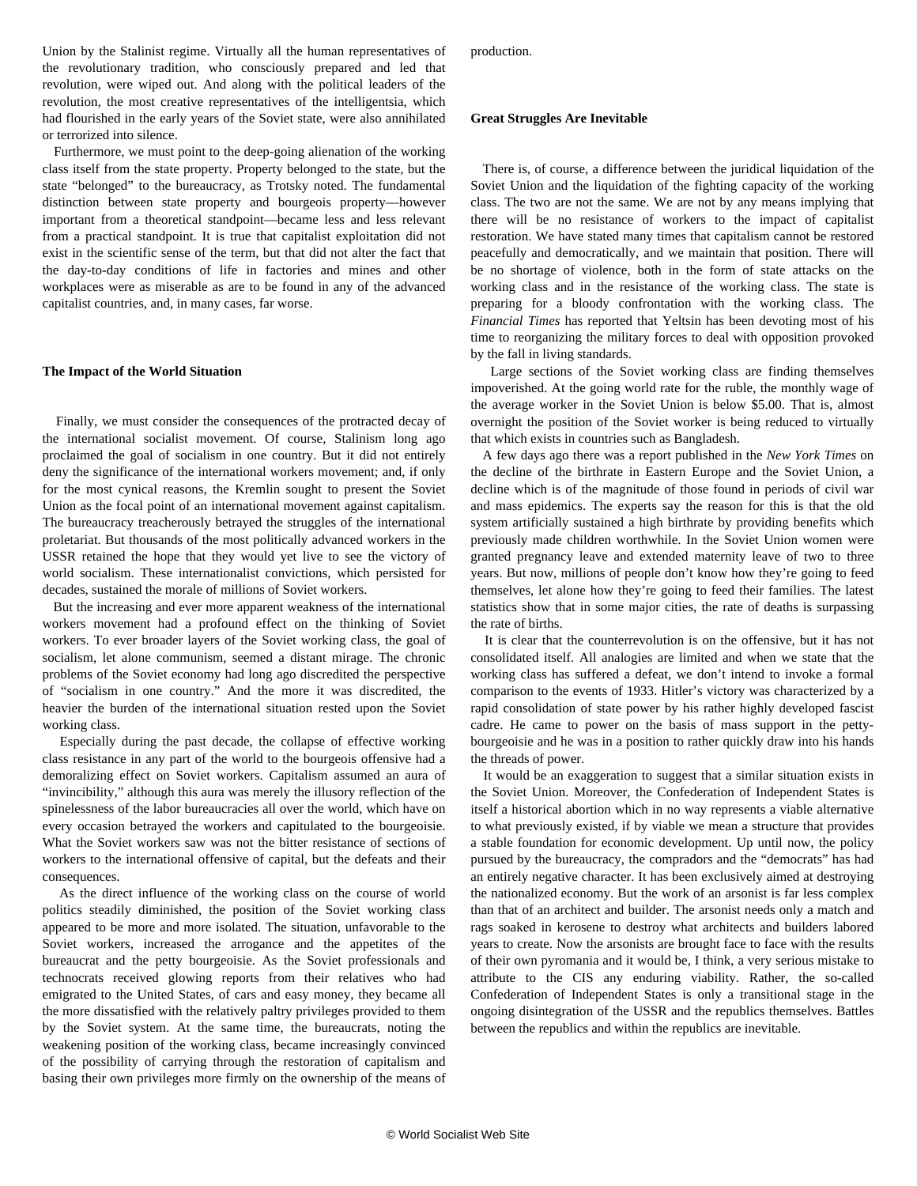Union by the Stalinist regime. Virtually all the human representatives of the revolutionary tradition, who consciously prepared and led that revolution, were wiped out. And along with the political leaders of the revolution, the most creative representatives of the intelligentsia, which had flourished in the early years of the Soviet state, were also annihilated or terrorized into silence.

 Furthermore, we must point to the deep-going alienation of the working class itself from the state property. Property belonged to the state, but the state "belonged" to the bureaucracy, as Trotsky noted. The fundamental distinction between state property and bourgeois property—however important from a theoretical standpoint—became less and less relevant from a practical standpoint. It is true that capitalist exploitation did not exist in the scientific sense of the term, but that did not alter the fact that the day-to-day conditions of life in factories and mines and other workplaces were as miserable as are to be found in any of the advanced capitalist countries, and, in many cases, far worse.

#### **The Impact of the World Situation**

 Finally, we must consider the consequences of the protracted decay of the international socialist movement. Of course, Stalinism long ago proclaimed the goal of socialism in one country. But it did not entirely deny the significance of the international workers movement; and, if only for the most cynical reasons, the Kremlin sought to present the Soviet Union as the focal point of an international movement against capitalism. The bureaucracy treacherously betrayed the struggles of the international proletariat. But thousands of the most politically advanced workers in the USSR retained the hope that they would yet live to see the victory of world socialism. These internationalist convictions, which persisted for decades, sustained the morale of millions of Soviet workers.

 But the increasing and ever more apparent weakness of the international workers movement had a profound effect on the thinking of Soviet workers. To ever broader layers of the Soviet working class, the goal of socialism, let alone communism, seemed a distant mirage. The chronic problems of the Soviet economy had long ago discredited the perspective of "socialism in one country." And the more it was discredited, the heavier the burden of the international situation rested upon the Soviet working class.

 Especially during the past decade, the collapse of effective working class resistance in any part of the world to the bourgeois offensive had a demoralizing effect on Soviet workers. Capitalism assumed an aura of "invincibility," although this aura was merely the illusory reflection of the spinelessness of the labor bureaucracies all over the world, which have on every occasion betrayed the workers and capitulated to the bourgeoisie. What the Soviet workers saw was not the bitter resistance of sections of workers to the international offensive of capital, but the defeats and their consequences.

 As the direct influence of the working class on the course of world politics steadily diminished, the position of the Soviet working class appeared to be more and more isolated. The situation, unfavorable to the Soviet workers, increased the arrogance and the appetites of the bureaucrat and the petty bourgeoisie. As the Soviet professionals and technocrats received glowing reports from their relatives who had emigrated to the United States, of cars and easy money, they became all the more dissatisfied with the relatively paltry privileges provided to them by the Soviet system. At the same time, the bureaucrats, noting the weakening position of the working class, became increasingly convinced of the possibility of carrying through the restoration of capitalism and basing their own privileges more firmly on the ownership of the means of production.

#### **Great Struggles Are Inevitable**

 There is, of course, a difference between the juridical liquidation of the Soviet Union and the liquidation of the fighting capacity of the working class. The two are not the same. We are not by any means implying that there will be no resistance of workers to the impact of capitalist restoration. We have stated many times that capitalism cannot be restored peacefully and democratically, and we maintain that position. There will be no shortage of violence, both in the form of state attacks on the working class and in the resistance of the working class. The state is preparing for a bloody confrontation with the working class. The *Financial Times* has reported that Yeltsin has been devoting most of his time to reorganizing the military forces to deal with opposition provoked by the fall in living standards.

 Large sections of the Soviet working class are finding themselves impoverished. At the going world rate for the ruble, the monthly wage of the average worker in the Soviet Union is below \$5.00. That is, almost overnight the position of the Soviet worker is being reduced to virtually that which exists in countries such as Bangladesh.

 A few days ago there was a report published in the *New York Times* on the decline of the birthrate in Eastern Europe and the Soviet Union, a decline which is of the magnitude of those found in periods of civil war and mass epidemics. The experts say the reason for this is that the old system artificially sustained a high birthrate by providing benefits which previously made children worthwhile. In the Soviet Union women were granted pregnancy leave and extended maternity leave of two to three years. But now, millions of people don't know how they're going to feed themselves, let alone how they're going to feed their families. The latest statistics show that in some major cities, the rate of deaths is surpassing the rate of births.

 It is clear that the counterrevolution is on the offensive, but it has not consolidated itself. All analogies are limited and when we state that the working class has suffered a defeat, we don't intend to invoke a formal comparison to the events of 1933. Hitler's victory was characterized by a rapid consolidation of state power by his rather highly developed fascist cadre. He came to power on the basis of mass support in the pettybourgeoisie and he was in a position to rather quickly draw into his hands the threads of power.

 It would be an exaggeration to suggest that a similar situation exists in the Soviet Union. Moreover, the Confederation of Independent States is itself a historical abortion which in no way represents a viable alternative to what previously existed, if by viable we mean a structure that provides a stable foundation for economic development. Up until now, the policy pursued by the bureaucracy, the compradors and the "democrats" has had an entirely negative character. It has been exclusively aimed at destroying the nationalized economy. But the work of an arsonist is far less complex than that of an architect and builder. The arsonist needs only a match and rags soaked in kerosene to destroy what architects and builders labored years to create. Now the arsonists are brought face to face with the results of their own pyromania and it would be, I think, a very serious mistake to attribute to the CIS any enduring viability. Rather, the so-called Confederation of Independent States is only a transitional stage in the ongoing disintegration of the USSR and the republics themselves. Battles between the republics and within the republics are inevitable.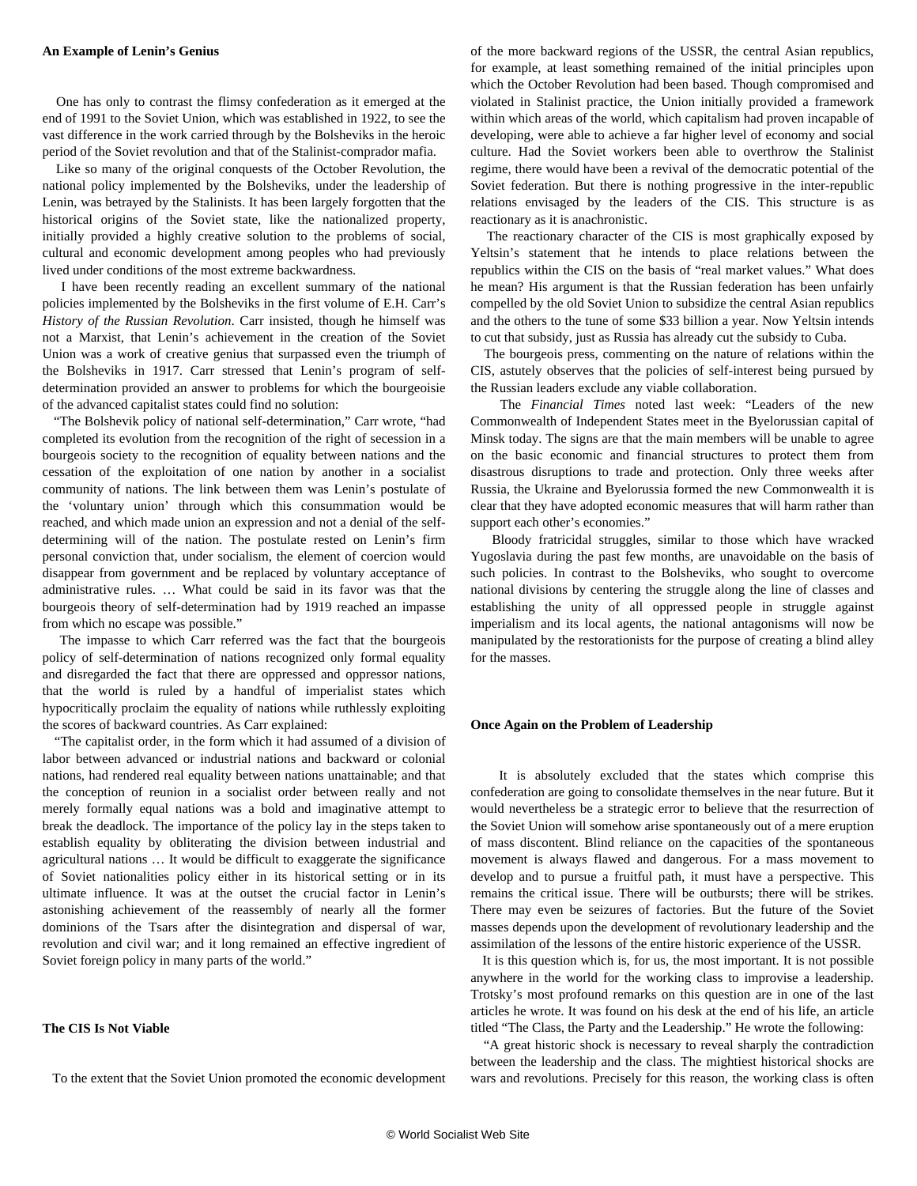#### **An Example of Lenin's Genius**

 One has only to contrast the flimsy confederation as it emerged at the end of 1991 to the Soviet Union, which was established in 1922, to see the vast difference in the work carried through by the Bolsheviks in the heroic period of the Soviet revolution and that of the Stalinist-comprador mafia.

 Like so many of the original conquests of the October Revolution, the national policy implemented by the Bolsheviks, under the leadership of Lenin, was betrayed by the Stalinists. It has been largely forgotten that the historical origins of the Soviet state, like the nationalized property, initially provided a highly creative solution to the problems of social, cultural and economic development among peoples who had previously lived under conditions of the most extreme backwardness.

 I have been recently reading an excellent summary of the national policies implemented by the Bolsheviks in the first volume of E.H. Carr's *History of the Russian Revolution*. Carr insisted, though he himself was not a Marxist, that Lenin's achievement in the creation of the Soviet Union was a work of creative genius that surpassed even the triumph of the Bolsheviks in 1917. Carr stressed that Lenin's program of selfdetermination provided an answer to problems for which the bourgeoisie of the advanced capitalist states could find no solution:

 "The Bolshevik policy of national self-determination," Carr wrote, "had completed its evolution from the recognition of the right of secession in a bourgeois society to the recognition of equality between nations and the cessation of the exploitation of one nation by another in a socialist community of nations. The link between them was Lenin's postulate of the 'voluntary union' through which this consummation would be reached, and which made union an expression and not a denial of the selfdetermining will of the nation. The postulate rested on Lenin's firm personal conviction that, under socialism, the element of coercion would disappear from government and be replaced by voluntary acceptance of administrative rules. … What could be said in its favor was that the bourgeois theory of self-determination had by 1919 reached an impasse from which no escape was possible."

 The impasse to which Carr referred was the fact that the bourgeois policy of self-determination of nations recognized only formal equality and disregarded the fact that there are oppressed and oppressor nations, that the world is ruled by a handful of imperialist states which hypocritically proclaim the equality of nations while ruthlessly exploiting the scores of backward countries. As Carr explained:

 "The capitalist order, in the form which it had assumed of a division of labor between advanced or industrial nations and backward or colonial nations, had rendered real equality between nations unattainable; and that the conception of reunion in a socialist order between really and not merely formally equal nations was a bold and imaginative attempt to break the deadlock. The importance of the policy lay in the steps taken to establish equality by obliterating the division between industrial and agricultural nations … It would be difficult to exaggerate the significance of Soviet nationalities policy either in its historical setting or in its ultimate influence. It was at the outset the crucial factor in Lenin's astonishing achievement of the reassembly of nearly all the former dominions of the Tsars after the disintegration and dispersal of war, revolution and civil war; and it long remained an effective ingredient of Soviet foreign policy in many parts of the world."

# **The CIS Is Not Viable**

To the extent that the Soviet Union promoted the economic development

of the more backward regions of the USSR, the central Asian republics, for example, at least something remained of the initial principles upon which the October Revolution had been based. Though compromised and violated in Stalinist practice, the Union initially provided a framework within which areas of the world, which capitalism had proven incapable of developing, were able to achieve a far higher level of economy and social culture. Had the Soviet workers been able to overthrow the Stalinist regime, there would have been a revival of the democratic potential of the Soviet federation. But there is nothing progressive in the inter-republic relations envisaged by the leaders of the CIS. This structure is as reactionary as it is anachronistic.

 The reactionary character of the CIS is most graphically exposed by Yeltsin's statement that he intends to place relations between the republics within the CIS on the basis of "real market values." What does he mean? His argument is that the Russian federation has been unfairly compelled by the old Soviet Union to subsidize the central Asian republics and the others to the tune of some \$33 billion a year. Now Yeltsin intends to cut that subsidy, just as Russia has already cut the subsidy to Cuba.

 The bourgeois press, commenting on the nature of relations within the CIS, astutely observes that the policies of self-interest being pursued by the Russian leaders exclude any viable collaboration.

 The *Financial Times* noted last week: "Leaders of the new Commonwealth of Independent States meet in the Byelorussian capital of Minsk today. The signs are that the main members will be unable to agree on the basic economic and financial structures to protect them from disastrous disruptions to trade and protection. Only three weeks after Russia, the Ukraine and Byelorussia formed the new Commonwealth it is clear that they have adopted economic measures that will harm rather than support each other's economies."

 Bloody fratricidal struggles, similar to those which have wracked Yugoslavia during the past few months, are unavoidable on the basis of such policies. In contrast to the Bolsheviks, who sought to overcome national divisions by centering the struggle along the line of classes and establishing the unity of all oppressed people in struggle against imperialism and its local agents, the national antagonisms will now be manipulated by the restorationists for the purpose of creating a blind alley for the masses.

#### **Once Again on the Problem of Leadership**

 It is absolutely excluded that the states which comprise this confederation are going to consolidate themselves in the near future. But it would nevertheless be a strategic error to believe that the resurrection of the Soviet Union will somehow arise spontaneously out of a mere eruption of mass discontent. Blind reliance on the capacities of the spontaneous movement is always flawed and dangerous. For a mass movement to develop and to pursue a fruitful path, it must have a perspective. This remains the critical issue. There will be outbursts; there will be strikes. There may even be seizures of factories. But the future of the Soviet masses depends upon the development of revolutionary leadership and the assimilation of the lessons of the entire historic experience of the USSR.

 It is this question which is, for us, the most important. It is not possible anywhere in the world for the working class to improvise a leadership. Trotsky's most profound remarks on this question are in one of the last articles he wrote. It was found on his desk at the end of his life, an article titled "The Class, the Party and the Leadership." He wrote the following:

 "A great historic shock is necessary to reveal sharply the contradiction between the leadership and the class. The mightiest historical shocks are wars and revolutions. Precisely for this reason, the working class is often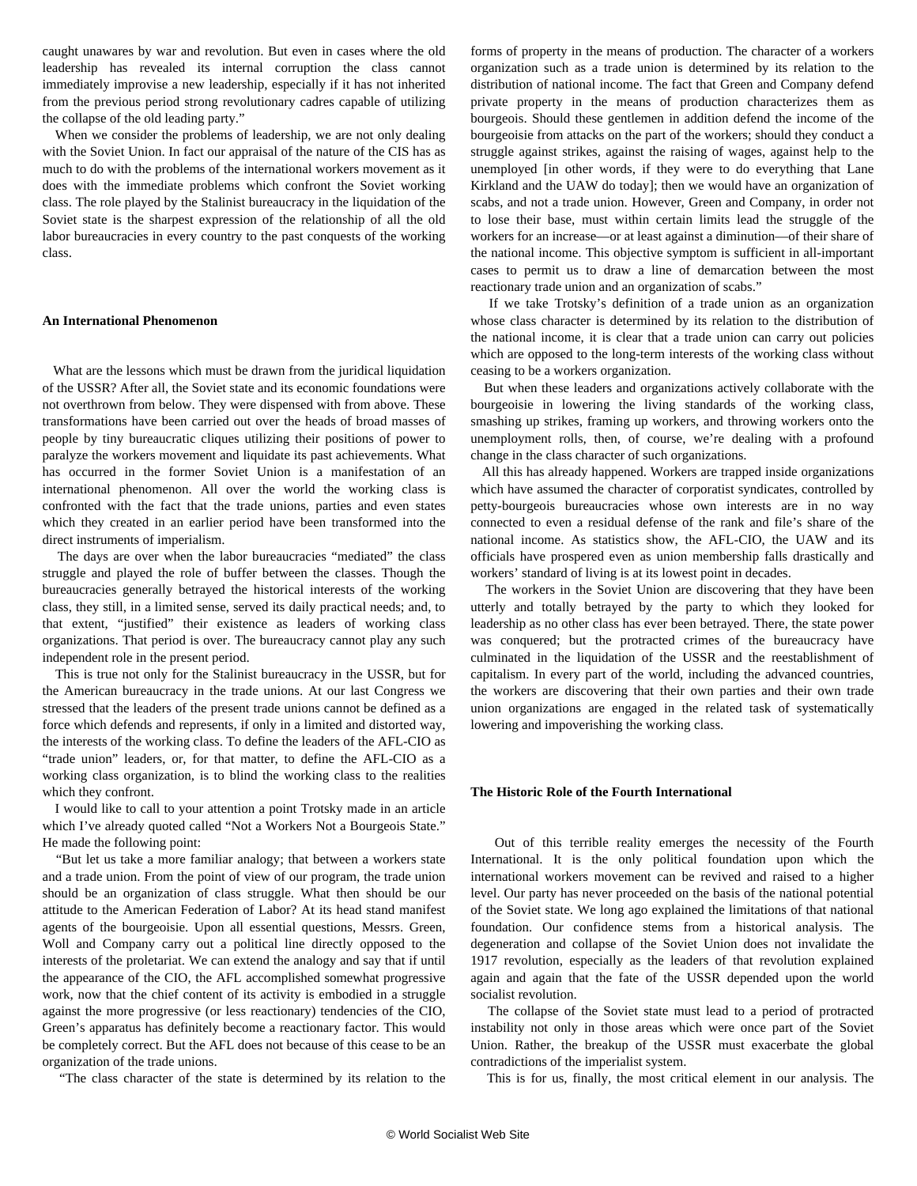caught unawares by war and revolution. But even in cases where the old leadership has revealed its internal corruption the class cannot immediately improvise a new leadership, especially if it has not inherited from the previous period strong revolutionary cadres capable of utilizing the collapse of the old leading party."

 When we consider the problems of leadership, we are not only dealing with the Soviet Union. In fact our appraisal of the nature of the CIS has as much to do with the problems of the international workers movement as it does with the immediate problems which confront the Soviet working class. The role played by the Stalinist bureaucracy in the liquidation of the Soviet state is the sharpest expression of the relationship of all the old labor bureaucracies in every country to the past conquests of the working class.

# **An International Phenomenon**

 What are the lessons which must be drawn from the juridical liquidation of the USSR? After all, the Soviet state and its economic foundations were not overthrown from below. They were dispensed with from above. These transformations have been carried out over the heads of broad masses of people by tiny bureaucratic cliques utilizing their positions of power to paralyze the workers movement and liquidate its past achievements. What has occurred in the former Soviet Union is a manifestation of an international phenomenon. All over the world the working class is confronted with the fact that the trade unions, parties and even states which they created in an earlier period have been transformed into the direct instruments of imperialism.

 The days are over when the labor bureaucracies "mediated" the class struggle and played the role of buffer between the classes. Though the bureaucracies generally betrayed the historical interests of the working class, they still, in a limited sense, served its daily practical needs; and, to that extent, "justified" their existence as leaders of working class organizations. That period is over. The bureaucracy cannot play any such independent role in the present period.

 This is true not only for the Stalinist bureaucracy in the USSR, but for the American bureaucracy in the trade unions. At our last Congress we stressed that the leaders of the present trade unions cannot be defined as a force which defends and represents, if only in a limited and distorted way, the interests of the working class. To define the leaders of the AFL-CIO as "trade union" leaders, or, for that matter, to define the AFL-CIO as a working class organization, is to blind the working class to the realities which they confront.

 I would like to call to your attention a point Trotsky made in an article which I've already quoted called "Not a Workers Not a Bourgeois State." He made the following point:

 "But let us take a more familiar analogy; that between a workers state and a trade union. From the point of view of our program, the trade union should be an organization of class struggle. What then should be our attitude to the American Federation of Labor? At its head stand manifest agents of the bourgeoisie. Upon all essential questions, Messrs. Green, Woll and Company carry out a political line directly opposed to the interests of the proletariat. We can extend the analogy and say that if until the appearance of the CIO, the AFL accomplished somewhat progressive work, now that the chief content of its activity is embodied in a struggle against the more progressive (or less reactionary) tendencies of the CIO, Green's apparatus has definitely become a reactionary factor. This would be completely correct. But the AFL does not because of this cease to be an organization of the trade unions.

"The class character of the state is determined by its relation to the

forms of property in the means of production. The character of a workers organization such as a trade union is determined by its relation to the distribution of national income. The fact that Green and Company defend private property in the means of production characterizes them as bourgeois. Should these gentlemen in addition defend the income of the bourgeoisie from attacks on the part of the workers; should they conduct a struggle against strikes, against the raising of wages, against help to the unemployed [in other words, if they were to do everything that Lane Kirkland and the UAW do today]; then we would have an organization of scabs, and not a trade union. However, Green and Company, in order not to lose their base, must within certain limits lead the struggle of the workers for an increase—or at least against a diminution—of their share of the national income. This objective symptom is sufficient in all-important cases to permit us to draw a line of demarcation between the most reactionary trade union and an organization of scabs."

 If we take Trotsky's definition of a trade union as an organization whose class character is determined by its relation to the distribution of the national income, it is clear that a trade union can carry out policies which are opposed to the long-term interests of the working class without ceasing to be a workers organization.

 But when these leaders and organizations actively collaborate with the bourgeoisie in lowering the living standards of the working class, smashing up strikes, framing up workers, and throwing workers onto the unemployment rolls, then, of course, we're dealing with a profound change in the class character of such organizations.

 All this has already happened. Workers are trapped inside organizations which have assumed the character of corporatist syndicates, controlled by petty-bourgeois bureaucracies whose own interests are in no way connected to even a residual defense of the rank and file's share of the national income. As statistics show, the AFL-CIO, the UAW and its officials have prospered even as union membership falls drastically and workers' standard of living is at its lowest point in decades.

 The workers in the Soviet Union are discovering that they have been utterly and totally betrayed by the party to which they looked for leadership as no other class has ever been betrayed. There, the state power was conquered; but the protracted crimes of the bureaucracy have culminated in the liquidation of the USSR and the reestablishment of capitalism. In every part of the world, including the advanced countries, the workers are discovering that their own parties and their own trade union organizations are engaged in the related task of systematically lowering and impoverishing the working class.

#### **The Historic Role of the Fourth International**

 Out of this terrible reality emerges the necessity of the Fourth International. It is the only political foundation upon which the international workers movement can be revived and raised to a higher level. Our party has never proceeded on the basis of the national potential of the Soviet state. We long ago explained the limitations of that national foundation. Our confidence stems from a historical analysis. The degeneration and collapse of the Soviet Union does not invalidate the 1917 revolution, especially as the leaders of that revolution explained again and again that the fate of the USSR depended upon the world socialist revolution.

 The collapse of the Soviet state must lead to a period of protracted instability not only in those areas which were once part of the Soviet Union. Rather, the breakup of the USSR must exacerbate the global contradictions of the imperialist system.

This is for us, finally, the most critical element in our analysis. The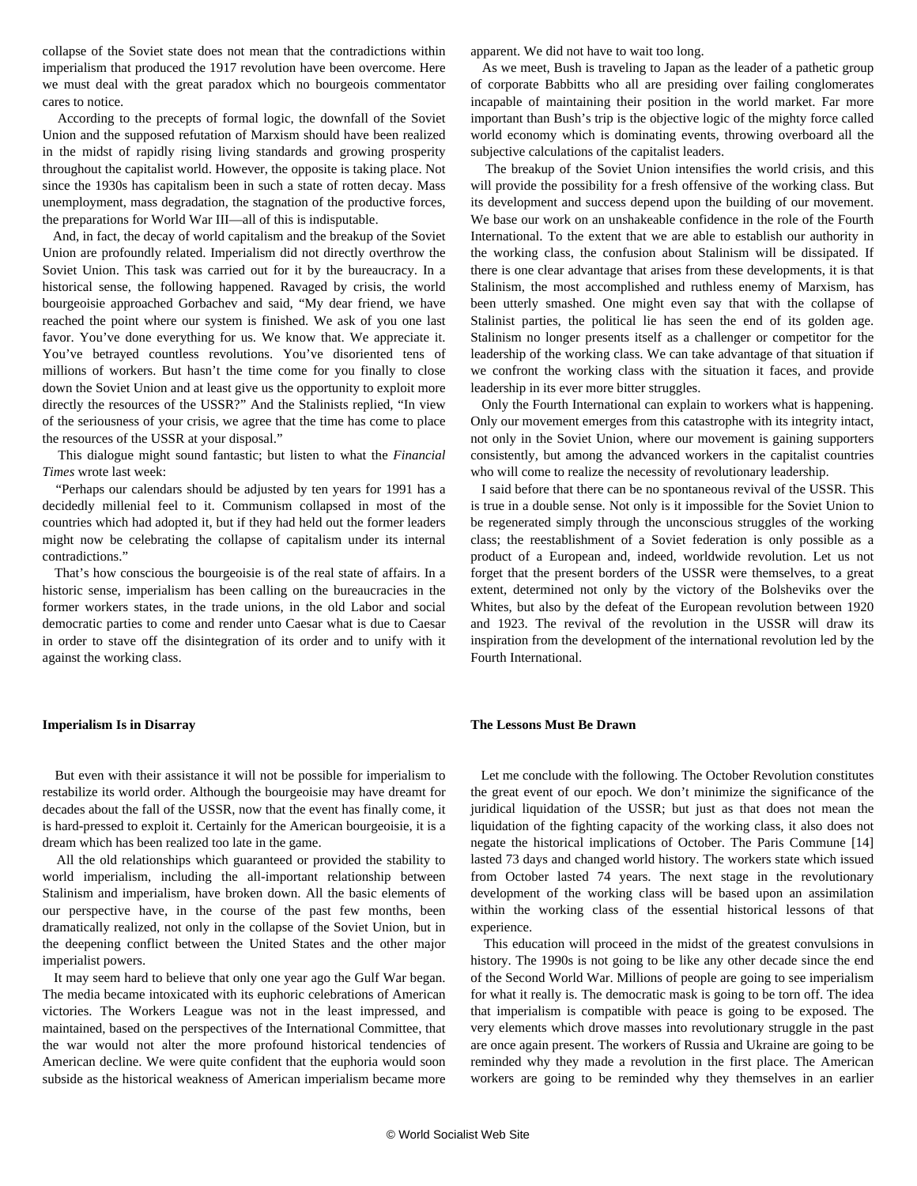collapse of the Soviet state does not mean that the contradictions within imperialism that produced the 1917 revolution have been overcome. Here we must deal with the great paradox which no bourgeois commentator cares to notice.

 According to the precepts of formal logic, the downfall of the Soviet Union and the supposed refutation of Marxism should have been realized in the midst of rapidly rising living standards and growing prosperity throughout the capitalist world. However, the opposite is taking place. Not since the 1930s has capitalism been in such a state of rotten decay. Mass unemployment, mass degradation, the stagnation of the productive forces, the preparations for World War III—all of this is indisputable.

 And, in fact, the decay of world capitalism and the breakup of the Soviet Union are profoundly related. Imperialism did not directly overthrow the Soviet Union. This task was carried out for it by the bureaucracy. In a historical sense, the following happened. Ravaged by crisis, the world bourgeoisie approached Gorbachev and said, "My dear friend, we have reached the point where our system is finished. We ask of you one last favor. You've done everything for us. We know that. We appreciate it. You've betrayed countless revolutions. You've disoriented tens of millions of workers. But hasn't the time come for you finally to close down the Soviet Union and at least give us the opportunity to exploit more directly the resources of the USSR?" And the Stalinists replied, "In view of the seriousness of your crisis, we agree that the time has come to place the resources of the USSR at your disposal."

 This dialogue might sound fantastic; but listen to what the *Financial Times* wrote last week:

 "Perhaps our calendars should be adjusted by ten years for 1991 has a decidedly millenial feel to it. Communism collapsed in most of the countries which had adopted it, but if they had held out the former leaders might now be celebrating the collapse of capitalism under its internal contradictions."

 That's how conscious the bourgeoisie is of the real state of affairs. In a historic sense, imperialism has been calling on the bureaucracies in the former workers states, in the trade unions, in the old Labor and social democratic parties to come and render unto Caesar what is due to Caesar in order to stave off the disintegration of its order and to unify with it against the working class.

#### **Imperialism Is in Disarray**

 But even with their assistance it will not be possible for imperialism to restabilize its world order. Although the bourgeoisie may have dreamt for decades about the fall of the USSR, now that the event has finally come, it is hard-pressed to exploit it. Certainly for the American bourgeoisie, it is a dream which has been realized too late in the game.

 All the old relationships which guaranteed or provided the stability to world imperialism, including the all-important relationship between Stalinism and imperialism, have broken down. All the basic elements of our perspective have, in the course of the past few months, been dramatically realized, not only in the collapse of the Soviet Union, but in the deepening conflict between the United States and the other major imperialist powers.

 It may seem hard to believe that only one year ago the Gulf War began. The media became intoxicated with its euphoric celebrations of American victories. The Workers League was not in the least impressed, and maintained, based on the perspectives of the International Committee, that the war would not alter the more profound historical tendencies of American decline. We were quite confident that the euphoria would soon subside as the historical weakness of American imperialism became more apparent. We did not have to wait too long.

 As we meet, Bush is traveling to Japan as the leader of a pathetic group of corporate Babbitts who all are presiding over failing conglomerates incapable of maintaining their position in the world market. Far more important than Bush's trip is the objective logic of the mighty force called world economy which is dominating events, throwing overboard all the subjective calculations of the capitalist leaders.

 The breakup of the Soviet Union intensifies the world crisis, and this will provide the possibility for a fresh offensive of the working class. But its development and success depend upon the building of our movement. We base our work on an unshakeable confidence in the role of the Fourth International. To the extent that we are able to establish our authority in the working class, the confusion about Stalinism will be dissipated. If there is one clear advantage that arises from these developments, it is that Stalinism, the most accomplished and ruthless enemy of Marxism, has been utterly smashed. One might even say that with the collapse of Stalinist parties, the political lie has seen the end of its golden age. Stalinism no longer presents itself as a challenger or competitor for the leadership of the working class. We can take advantage of that situation if we confront the working class with the situation it faces, and provide leadership in its ever more bitter struggles.

 Only the Fourth International can explain to workers what is happening. Only our movement emerges from this catastrophe with its integrity intact, not only in the Soviet Union, where our movement is gaining supporters consistently, but among the advanced workers in the capitalist countries who will come to realize the necessity of revolutionary leadership.

 I said before that there can be no spontaneous revival of the USSR. This is true in a double sense. Not only is it impossible for the Soviet Union to be regenerated simply through the unconscious struggles of the working class; the reestablishment of a Soviet federation is only possible as a product of a European and, indeed, worldwide revolution. Let us not forget that the present borders of the USSR were themselves, to a great extent, determined not only by the victory of the Bolsheviks over the Whites, but also by the defeat of the European revolution between 1920 and 1923. The revival of the revolution in the USSR will draw its inspiration from the development of the international revolution led by the Fourth International.

#### **The Lessons Must Be Drawn**

 Let me conclude with the following. The October Revolution constitutes the great event of our epoch. We don't minimize the significance of the juridical liquidation of the USSR; but just as that does not mean the liquidation of the fighting capacity of the working class, it also does not negate the historical implications of October. The Paris Commune [14] lasted 73 days and changed world history. The workers state which issued from October lasted 74 years. The next stage in the revolutionary development of the working class will be based upon an assimilation within the working class of the essential historical lessons of that experience.

 This education will proceed in the midst of the greatest convulsions in history. The 1990s is not going to be like any other decade since the end of the Second World War. Millions of people are going to see imperialism for what it really is. The democratic mask is going to be torn off. The idea that imperialism is compatible with peace is going to be exposed. The very elements which drove masses into revolutionary struggle in the past are once again present. The workers of Russia and Ukraine are going to be reminded why they made a revolution in the first place. The American workers are going to be reminded why they themselves in an earlier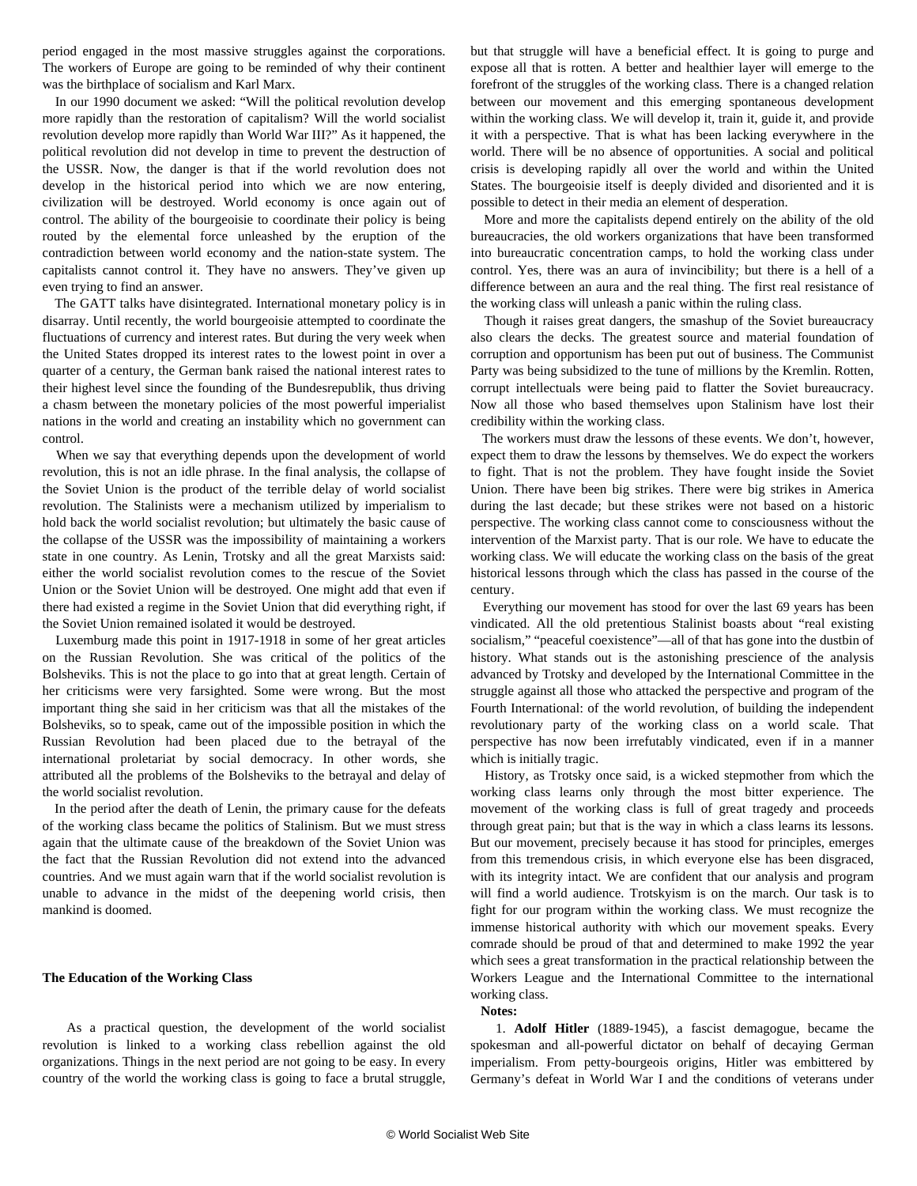period engaged in the most massive struggles against the corporations. The workers of Europe are going to be reminded of why their continent was the birthplace of socialism and Karl Marx.

 In our 1990 document we asked: "Will the political revolution develop more rapidly than the restoration of capitalism? Will the world socialist revolution develop more rapidly than World War III?" As it happened, the political revolution did not develop in time to prevent the destruction of the USSR. Now, the danger is that if the world revolution does not develop in the historical period into which we are now entering, civilization will be destroyed. World economy is once again out of control. The ability of the bourgeoisie to coordinate their policy is being routed by the elemental force unleashed by the eruption of the contradiction between world economy and the nation-state system. The capitalists cannot control it. They have no answers. They've given up even trying to find an answer.

 The GATT talks have disintegrated. International monetary policy is in disarray. Until recently, the world bourgeoisie attempted to coordinate the fluctuations of currency and interest rates. But during the very week when the United States dropped its interest rates to the lowest point in over a quarter of a century, the German bank raised the national interest rates to their highest level since the founding of the Bundesrepublik, thus driving a chasm between the monetary policies of the most powerful imperialist nations in the world and creating an instability which no government can control.

 When we say that everything depends upon the development of world revolution, this is not an idle phrase. In the final analysis, the collapse of the Soviet Union is the product of the terrible delay of world socialist revolution. The Stalinists were a mechanism utilized by imperialism to hold back the world socialist revolution; but ultimately the basic cause of the collapse of the USSR was the impossibility of maintaining a workers state in one country. As Lenin, Trotsky and all the great Marxists said: either the world socialist revolution comes to the rescue of the Soviet Union or the Soviet Union will be destroyed. One might add that even if there had existed a regime in the Soviet Union that did everything right, if the Soviet Union remained isolated it would be destroyed.

 Luxemburg made this point in 1917-1918 in some of her great articles on the Russian Revolution. She was critical of the politics of the Bolsheviks. This is not the place to go into that at great length. Certain of her criticisms were very farsighted. Some were wrong. But the most important thing she said in her criticism was that all the mistakes of the Bolsheviks, so to speak, came out of the impossible position in which the Russian Revolution had been placed due to the betrayal of the international proletariat by social democracy. In other words, she attributed all the problems of the Bolsheviks to the betrayal and delay of the world socialist revolution.

 In the period after the death of Lenin, the primary cause for the defeats of the working class became the politics of Stalinism. But we must stress again that the ultimate cause of the breakdown of the Soviet Union was the fact that the Russian Revolution did not extend into the advanced countries. And we must again warn that if the world socialist revolution is unable to advance in the midst of the deepening world crisis, then mankind is doomed.

#### **The Education of the Working Class**

 As a practical question, the development of the world socialist revolution is linked to a working class rebellion against the old organizations. Things in the next period are not going to be easy. In every country of the world the working class is going to face a brutal struggle,

but that struggle will have a beneficial effect. It is going to purge and expose all that is rotten. A better and healthier layer will emerge to the forefront of the struggles of the working class. There is a changed relation between our movement and this emerging spontaneous development within the working class. We will develop it, train it, guide it, and provide it with a perspective. That is what has been lacking everywhere in the world. There will be no absence of opportunities. A social and political crisis is developing rapidly all over the world and within the United States. The bourgeoisie itself is deeply divided and disoriented and it is possible to detect in their media an element of desperation.

 More and more the capitalists depend entirely on the ability of the old bureaucracies, the old workers organizations that have been transformed into bureaucratic concentration camps, to hold the working class under control. Yes, there was an aura of invincibility; but there is a hell of a difference between an aura and the real thing. The first real resistance of the working class will unleash a panic within the ruling class.

 Though it raises great dangers, the smashup of the Soviet bureaucracy also clears the decks. The greatest source and material foundation of corruption and opportunism has been put out of business. The Communist Party was being subsidized to the tune of millions by the Kremlin. Rotten, corrupt intellectuals were being paid to flatter the Soviet bureaucracy. Now all those who based themselves upon Stalinism have lost their credibility within the working class.

 The workers must draw the lessons of these events. We don't, however, expect them to draw the lessons by themselves. We do expect the workers to fight. That is not the problem. They have fought inside the Soviet Union. There have been big strikes. There were big strikes in America during the last decade; but these strikes were not based on a historic perspective. The working class cannot come to consciousness without the intervention of the Marxist party. That is our role. We have to educate the working class. We will educate the working class on the basis of the great historical lessons through which the class has passed in the course of the century.

 Everything our movement has stood for over the last 69 years has been vindicated. All the old pretentious Stalinist boasts about "real existing socialism," "peaceful coexistence"—all of that has gone into the dustbin of history. What stands out is the astonishing prescience of the analysis advanced by Trotsky and developed by the International Committee in the struggle against all those who attacked the perspective and program of the Fourth International: of the world revolution, of building the independent revolutionary party of the working class on a world scale. That perspective has now been irrefutably vindicated, even if in a manner which is initially tragic.

 History, as Trotsky once said, is a wicked stepmother from which the working class learns only through the most bitter experience. The movement of the working class is full of great tragedy and proceeds through great pain; but that is the way in which a class learns its lessons. But our movement, precisely because it has stood for principles, emerges from this tremendous crisis, in which everyone else has been disgraced, with its integrity intact. We are confident that our analysis and program will find a world audience. Trotskyism is on the march. Our task is to fight for our program within the working class. We must recognize the immense historical authority with which our movement speaks. Every comrade should be proud of that and determined to make 1992 the year which sees a great transformation in the practical relationship between the Workers League and the International Committee to the international working class.

# **Notes:**

 1. **Adolf Hitler** (1889-1945), a fascist demagogue, became the spokesman and all-powerful dictator on behalf of decaying German imperialism. From petty-bourgeois origins, Hitler was embittered by Germany's defeat in World War I and the conditions of veterans under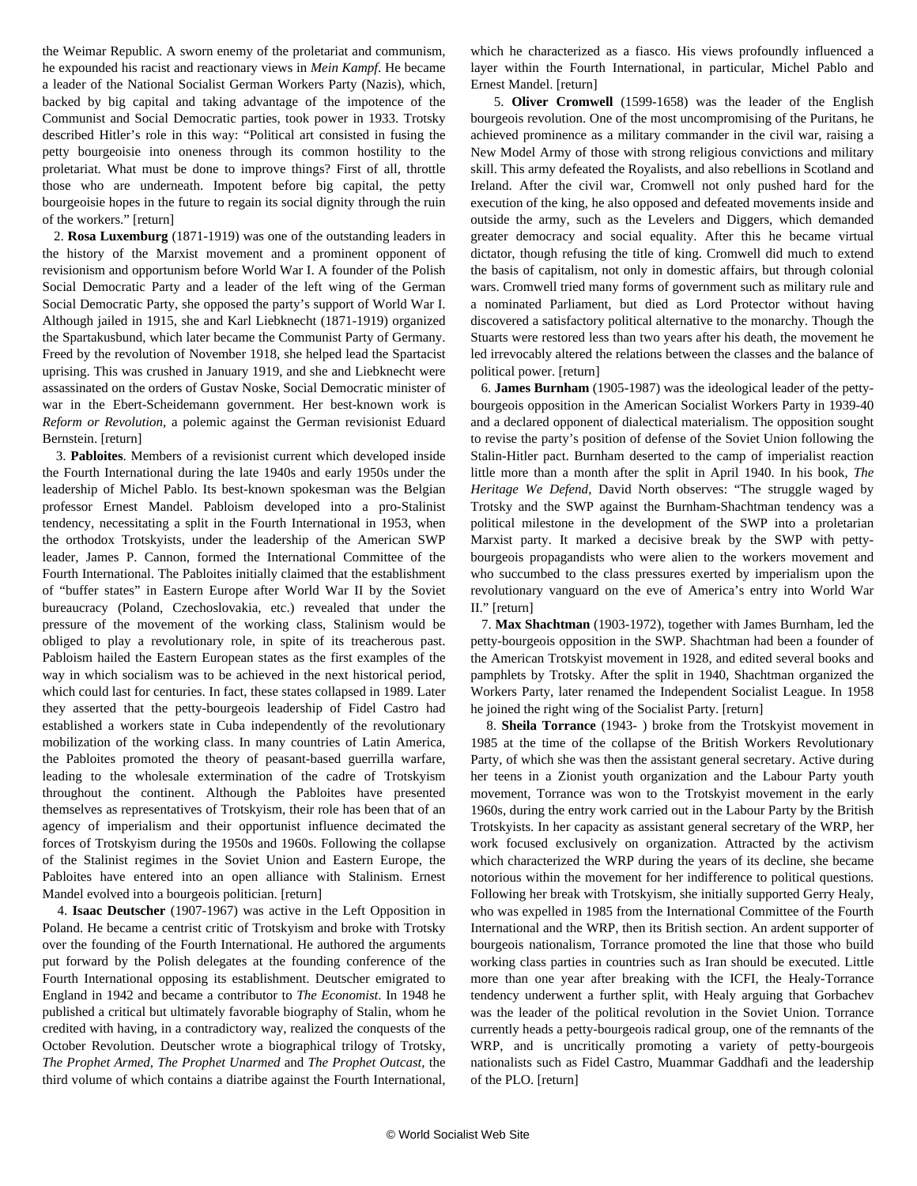the Weimar Republic. A sworn enemy of the proletariat and communism, he expounded his racist and reactionary views in *Mein Kampf*. He became a leader of the National Socialist German Workers Party (Nazis), which, backed by big capital and taking advantage of the impotence of the Communist and Social Democratic parties, took power in 1933. Trotsky described Hitler's role in this way: "Political art consisted in fusing the petty bourgeoisie into oneness through its common hostility to the proletariat. What must be done to improve things? First of all, throttle those who are underneath. Impotent before big capital, the petty bourgeoisie hopes in the future to regain its social dignity through the ruin of the workers." [return]

 2. **Rosa Luxemburg** (1871-1919) was one of the outstanding leaders in the history of the Marxist movement and a prominent opponent of revisionism and opportunism before World War I. A founder of the Polish Social Democratic Party and a leader of the left wing of the German Social Democratic Party, she opposed the party's support of World War I. Although jailed in 1915, she and Karl Liebknecht (1871-1919) organized the Spartakusbund, which later became the Communist Party of Germany. Freed by the revolution of November 1918, she helped lead the Spartacist uprising. This was crushed in January 1919, and she and Liebknecht were assassinated on the orders of Gustav Noske, Social Democratic minister of war in the Ebert-Scheidemann government. Her best-known work is *Reform or Revolution*, a polemic against the German revisionist Eduard Bernstein. [return]

 3. **Pabloites**. Members of a revisionist current which developed inside the Fourth International during the late 1940s and early 1950s under the leadership of Michel Pablo. Its best-known spokesman was the Belgian professor Ernest Mandel. Pabloism developed into a pro-Stalinist tendency, necessitating a split in the Fourth International in 1953, when the orthodox Trotskyists, under the leadership of the American SWP leader, James P. Cannon, formed the International Committee of the Fourth International. The Pabloites initially claimed that the establishment of "buffer states" in Eastern Europe after World War II by the Soviet bureaucracy (Poland, Czechoslovakia, etc.) revealed that under the pressure of the movement of the working class, Stalinism would be obliged to play a revolutionary role, in spite of its treacherous past. Pabloism hailed the Eastern European states as the first examples of the way in which socialism was to be achieved in the next historical period, which could last for centuries. In fact, these states collapsed in 1989. Later they asserted that the petty-bourgeois leadership of Fidel Castro had established a workers state in Cuba independently of the revolutionary mobilization of the working class. In many countries of Latin America, the Pabloites promoted the theory of peasant-based guerrilla warfare, leading to the wholesale extermination of the cadre of Trotskyism throughout the continent. Although the Pabloites have presented themselves as representatives of Trotskyism, their role has been that of an agency of imperialism and their opportunist influence decimated the forces of Trotskyism during the 1950s and 1960s. Following the collapse of the Stalinist regimes in the Soviet Union and Eastern Europe, the Pabloites have entered into an open alliance with Stalinism. Ernest Mandel evolved into a bourgeois politician. [return]

 4. **Isaac Deutscher** (1907-1967) was active in the Left Opposition in Poland. He became a centrist critic of Trotskyism and broke with Trotsky over the founding of the Fourth International. He authored the arguments put forward by the Polish delegates at the founding conference of the Fourth International opposing its establishment. Deutscher emigrated to England in 1942 and became a contributor to *The Economist*. In 1948 he published a critical but ultimately favorable biography of Stalin, whom he credited with having, in a contradictory way, realized the conquests of the October Revolution. Deutscher wrote a biographical trilogy of Trotsky, *The Prophet Armed*, *The Prophet Unarmed* and *The Prophet Outcast*, the third volume of which contains a diatribe against the Fourth International, which he characterized as a fiasco. His views profoundly influenced a layer within the Fourth International, in particular, Michel Pablo and Ernest Mandel. [return]

 5. **Oliver Cromwell** (1599-1658) was the leader of the English bourgeois revolution. One of the most uncompromising of the Puritans, he achieved prominence as a military commander in the civil war, raising a New Model Army of those with strong religious convictions and military skill. This army defeated the Royalists, and also rebellions in Scotland and Ireland. After the civil war, Cromwell not only pushed hard for the execution of the king, he also opposed and defeated movements inside and outside the army, such as the Levelers and Diggers, which demanded greater democracy and social equality. After this he became virtual dictator, though refusing the title of king. Cromwell did much to extend the basis of capitalism, not only in domestic affairs, but through colonial wars. Cromwell tried many forms of government such as military rule and a nominated Parliament, but died as Lord Protector without having discovered a satisfactory political alternative to the monarchy. Though the Stuarts were restored less than two years after his death, the movement he led irrevocably altered the relations between the classes and the balance of political power. [return]

 6. **James Burnham** (1905-1987) was the ideological leader of the pettybourgeois opposition in the American Socialist Workers Party in 1939-40 and a declared opponent of dialectical materialism. The opposition sought to revise the party's position of defense of the Soviet Union following the Stalin-Hitler pact. Burnham deserted to the camp of imperialist reaction little more than a month after the split in April 1940. In his book, *The Heritage We Defend*, David North observes: "The struggle waged by Trotsky and the SWP against the Burnham-Shachtman tendency was a political milestone in the development of the SWP into a proletarian Marxist party. It marked a decisive break by the SWP with pettybourgeois propagandists who were alien to the workers movement and who succumbed to the class pressures exerted by imperialism upon the revolutionary vanguard on the eve of America's entry into World War II." [return]

 7. **Max Shachtman** (1903-1972), together with James Burnham, led the petty-bourgeois opposition in the SWP. Shachtman had been a founder of the American Trotskyist movement in 1928, and edited several books and pamphlets by Trotsky. After the split in 1940, Shachtman organized the Workers Party, later renamed the Independent Socialist League. In 1958 he joined the right wing of the Socialist Party. [return]

 8. **Sheila Torrance** (1943- ) broke from the Trotskyist movement in 1985 at the time of the collapse of the British Workers Revolutionary Party, of which she was then the assistant general secretary. Active during her teens in a Zionist youth organization and the Labour Party youth movement, Torrance was won to the Trotskyist movement in the early 1960s, during the entry work carried out in the Labour Party by the British Trotskyists. In her capacity as assistant general secretary of the WRP, her work focused exclusively on organization. Attracted by the activism which characterized the WRP during the years of its decline, she became notorious within the movement for her indifference to political questions. Following her break with Trotskyism, she initially supported Gerry Healy, who was expelled in 1985 from the International Committee of the Fourth International and the WRP, then its British section. An ardent supporter of bourgeois nationalism, Torrance promoted the line that those who build working class parties in countries such as Iran should be executed. Little more than one year after breaking with the ICFI, the Healy-Torrance tendency underwent a further split, with Healy arguing that Gorbachev was the leader of the political revolution in the Soviet Union. Torrance currently heads a petty-bourgeois radical group, one of the remnants of the WRP, and is uncritically promoting a variety of petty-bourgeois nationalists such as Fidel Castro, Muammar Gaddhafi and the leadership of the PLO. [return]